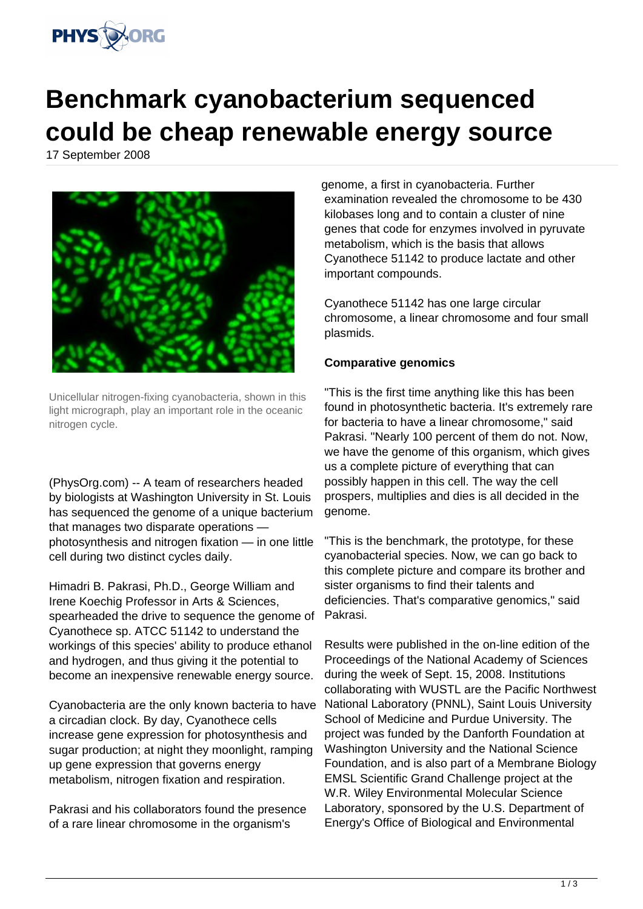

## **Benchmark cyanobacterium sequenced could be cheap renewable energy source**

17 September 2008



Unicellular nitrogen-fixing cyanobacteria, shown in this light micrograph, play an important role in the oceanic nitrogen cycle.

(PhysOrg.com) -- A team of researchers headed by biologists at Washington University in St. Louis has sequenced the genome of a unique bacterium that manages two disparate operations photosynthesis and nitrogen fixation — in one little cell during two distinct cycles daily.

Himadri B. Pakrasi, Ph.D., George William and Irene Koechig Professor in Arts & Sciences, spearheaded the drive to sequence the genome of Cyanothece sp. ATCC 51142 to understand the workings of this species' ability to produce ethanol and hydrogen, and thus giving it the potential to become an inexpensive renewable energy source.

Cyanobacteria are the only known bacteria to have a circadian clock. By day, Cyanothece cells increase gene expression for photosynthesis and sugar production; at night they moonlight, ramping up gene expression that governs energy metabolism, nitrogen fixation and respiration.

Pakrasi and his collaborators found the presence of a rare linear chromosome in the organism's

genome, a first in cyanobacteria. Further examination revealed the chromosome to be 430 kilobases long and to contain a cluster of nine genes that code for enzymes involved in pyruvate metabolism, which is the basis that allows Cyanothece 51142 to produce lactate and other important compounds.

Cyanothece 51142 has one large circular chromosome, a linear chromosome and four small plasmids.

## **Comparative genomics**

"This is the first time anything like this has been found in photosynthetic bacteria. It's extremely rare for bacteria to have a linear chromosome," said Pakrasi. "Nearly 100 percent of them do not. Now, we have the genome of this organism, which gives us a complete picture of everything that can possibly happen in this cell. The way the cell prospers, multiplies and dies is all decided in the genome.

"This is the benchmark, the prototype, for these cyanobacterial species. Now, we can go back to this complete picture and compare its brother and sister organisms to find their talents and deficiencies. That's comparative genomics," said Pakrasi.

Results were published in the on-line edition of the Proceedings of the National Academy of Sciences during the week of Sept. 15, 2008. Institutions collaborating with WUSTL are the Pacific Northwest National Laboratory (PNNL), Saint Louis University School of Medicine and Purdue University. The project was funded by the Danforth Foundation at Washington University and the National Science Foundation, and is also part of a Membrane Biology EMSL Scientific Grand Challenge project at the W.R. Wiley Environmental Molecular Science Laboratory, sponsored by the U.S. Department of Energy's Office of Biological and Environmental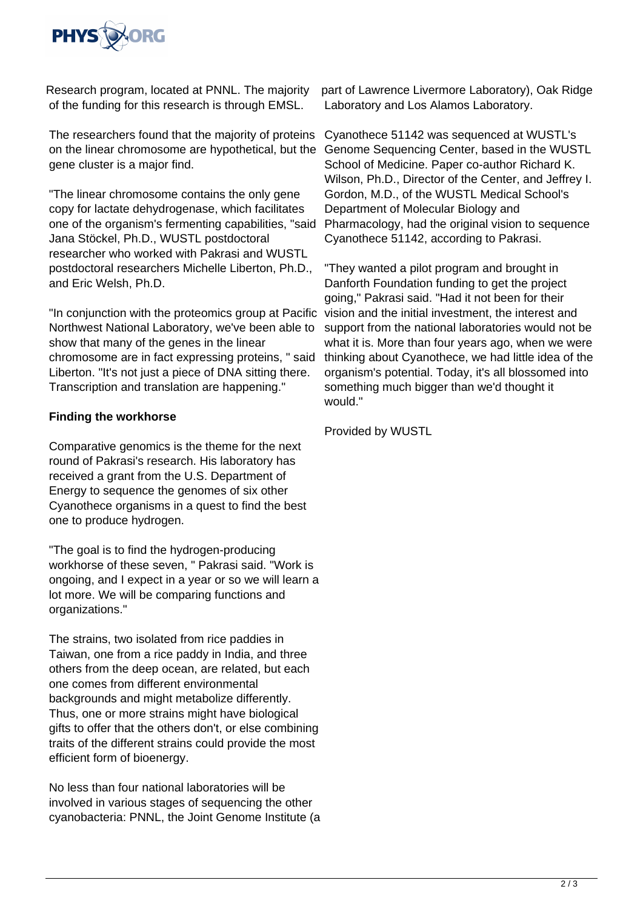

Research program, located at PNNL. The majority of the funding for this research is through EMSL.

The researchers found that the majority of proteins Cyanothece 51142 was sequenced at WUSTL's on the linear chromosome are hypothetical, but the Genome Sequencing Center, based in the WUSTL gene cluster is a major find.

"The linear chromosome contains the only gene copy for lactate dehydrogenase, which facilitates one of the organism's fermenting capabilities, "said Jana Stöckel, Ph.D., WUSTL postdoctoral researcher who worked with Pakrasi and WUSTL postdoctoral researchers Michelle Liberton, Ph.D., and Eric Welsh, Ph.D.

"In conjunction with the proteomics group at Pacific Northwest National Laboratory, we've been able to show that many of the genes in the linear chromosome are in fact expressing proteins, " said Liberton. "It's not just a piece of DNA sitting there. Transcription and translation are happening."

## **Finding the workhorse**

Comparative genomics is the theme for the next round of Pakrasi's research. His laboratory has received a grant from the U.S. Department of Energy to sequence the genomes of six other Cyanothece organisms in a quest to find the best one to produce hydrogen.

"The goal is to find the hydrogen-producing workhorse of these seven, " Pakrasi said. "Work is ongoing, and I expect in a year or so we will learn a lot more. We will be comparing functions and organizations."

The strains, two isolated from rice paddies in Taiwan, one from a rice paddy in India, and three others from the deep ocean, are related, but each one comes from different environmental backgrounds and might metabolize differently. Thus, one or more strains might have biological gifts to offer that the others don't, or else combining traits of the different strains could provide the most efficient form of bioenergy.

No less than four national laboratories will be involved in various stages of sequencing the other cyanobacteria: PNNL, the Joint Genome Institute (a

part of Lawrence Livermore Laboratory), Oak Ridge Laboratory and Los Alamos Laboratory.

School of Medicine. Paper co-author Richard K. Wilson, Ph.D., Director of the Center, and Jeffrey I. Gordon, M.D., of the WUSTL Medical School's Department of Molecular Biology and Pharmacology, had the original vision to sequence Cyanothece 51142, according to Pakrasi.

"They wanted a pilot program and brought in Danforth Foundation funding to get the project going," Pakrasi said. "Had it not been for their vision and the initial investment, the interest and support from the national laboratories would not be what it is. More than four years ago, when we were thinking about Cyanothece, we had little idea of the organism's potential. Today, it's all blossomed into something much bigger than we'd thought it would."

Provided by WUSTL